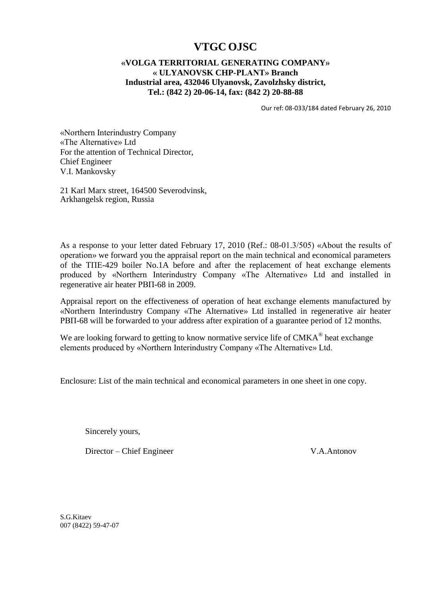## **VTGC OJSC**

## **«VOLGA TERRITORIAL GENERATING COMPANY» « ULYANOVSK CHP-PLANT» Branch Industrial area, 432046 Ulyanovsk, Zavolzhsky district, Tel.: (842 2) 20-06-14, fax: (842 2) 20-88-88**

Our ref: 08-033/184 dated February 26, 2010

«Northern Interindustry Company «The Alternative» Ltd For the attention of Technical Director, Chief Engineer V.I. Mankovsky

21 Karl Marx street, 164500 Severodvinsk, Arkhangelsk region, Russia

As a response to your letter dated February 17, 2010 (Ref.: 08-01.3/505) «About the results of operation» we forward you the appraisal report on the main technical and economical parameters of the ТПЕ-429 boiler No.1A before and after the replacement of heat exchange elements produced by «Northern Interindustry Company «The Alternative» Ltd and installed in regenerative air heater РВП-68 in 2009.

Appraisal report on the effectiveness of operation of heat exchange elements manufactured by «Northern Interindustry Company «The Alternative» Ltd installed in regenerative air heater РВП-68 will be forwarded to your address after expiration of a guarantee period of 12 months.

We are looking forward to getting to know normative service life of  $CMKA^{\circledR}$  heat exchange elements produced by «Northern Interindustry Company «The Alternative» Ltd.

Enclosure: List of the main technical and economical parameters in one sheet in one copy.

Sincerely yours,

Director – Chief Engineer V.A.Antonov

S.G.Kitaev 007 (8422) 59-47-07